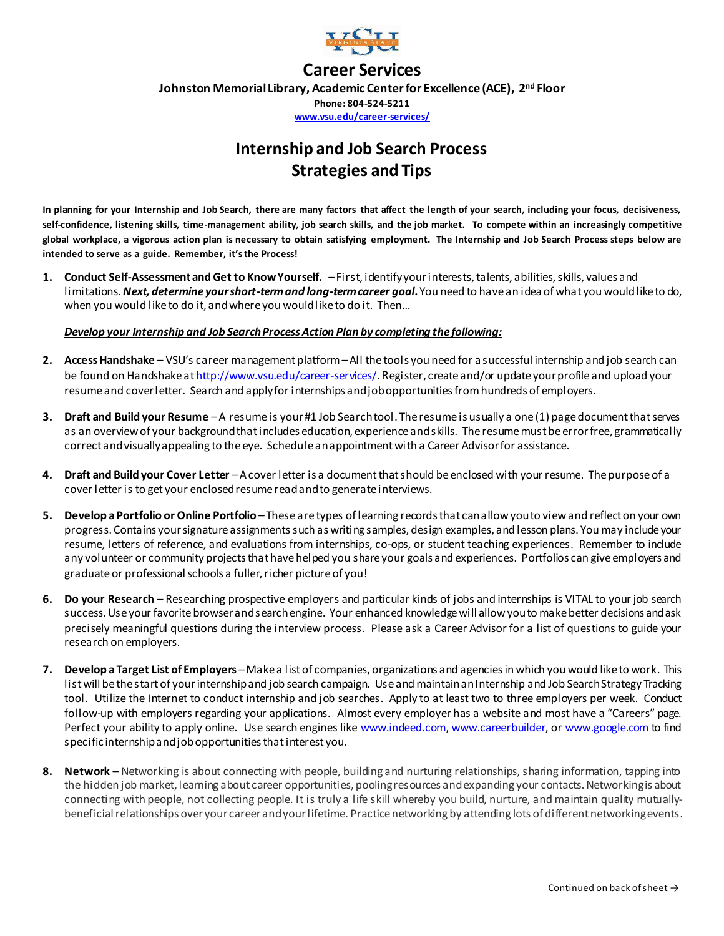

## **Career Services**

**Johnston Memorial Library, Academic Center for Excellence (ACE), 2 nd Floor**

**Phone: 804-524-5211 [www.vsu.edu/career-services/](http://www.vsu.edu/career-services)**

# **Internship and Job Search Process Strategies and Tips**

**In planning for your Internship and Job Search, there are many factors that affect the length of your search, including your focus, decisiveness, self-confidence, listening skills, time-management ability, job search skills, and the job market. To compete within an increasingly competitive global workplace, a vigorous action plan is necessary to obtain satisfying employment. The Internship and Job Search Process steps below are intended to serve as a guide. Remember, it's the Process!**

**1. Conduct Self-Assessment and Get to KnowYourself.** –First, identifyyour interests, talents, abilities,skills, values and limitations. *Next, determine your short-term and long-term career goal***.**You need to have an idea of what you would like to do, when you would like to do it, andwhere you would like to do it. Then…

#### *Develop your Internship and Job SearchProcess Action Plan by completing the following:*

- **2. Access Handshake** VSU's career management platform–All the tools you need for a successful internship and job search can be found on Handshake at http://www.vsu.edu/career-services/. Register, create and/or update your profile and upload your resume and cover letter. Search and apply for internships and job opportunities from hundreds of employers.
- **3. Draft and Build your Resume** –A resume is your #1 Job Search tool. The resume is usually a one (1) page document that serves as an overview of your background that includes education, experience and skills. The resume must be error free, grammatically correct and visually appealing to the eye. Schedule an appointment with a Career Advisor for assistance.
- **4. Draft and Build your Cover Letter** –A cover letter is a document that should be enclosed with your resume. The purpose of a cover letter is to get your enclosed resume read and to generate interviews.
- **5.** Develop a Portfolio or Online Portfolio These are types of learning records that can allow youto view and reflect on your own progress. Contains your signature assignmentssuch as writing samples, design examples, and lesson plans. You may include your resume, letters of reference, and evaluations from internships, co-ops, or student teaching experiences. Remember to include any volunteer or community projects that have helped you share your goals and experiences. Portfolios can give employers and graduate or professional schools a fuller, richer picture of you!
- **6. Do your Research** Researching prospective employers and particular kinds of jobs and internships is VITAL to your job search success.Use your favorite browser and search engine. Your enhanced knowledge will allow you to make better decisions and ask precisely meaningful questions during the interview process. Please ask a Career Advisor for a list of questions to guide your research on employers.
- **7.** Develop a Target List of Employers Make a list of companies, organizations and agencies in which you would like to work. This list will be the start of your internship and job search campaign. Use and maintain an Internship and Job Search Strategy Tracking tool. Utilize the Internet to conduct internship and job searches. Apply to at least two to three employers per week. Conduct follow-up with employers regarding your applications. Almost every employer has a website and most have a "Careers" page. Perfect your ability to apply online. Use search engines lik[e www.indeed.com](http://www.indeed.com/)[, www.careerbuilder](http://www.careerbuilder/), o[r www.google.com](http://www.google.com/) to find specific internship and job opportunities that interest you.
- **8. Network** Networking is about connecting with people, building and nurturing relationships, sharing information, tapping into the hidden job market, learning about career opportunities, pooling resources and expanding your contacts. Networking is about connecting with people, not collecting people. It is truly a life skill whereby you build, nurture, and maintain quality mutuallybeneficial relationships over your career and your lifetime. Practice networking by attending lots of different networking events.